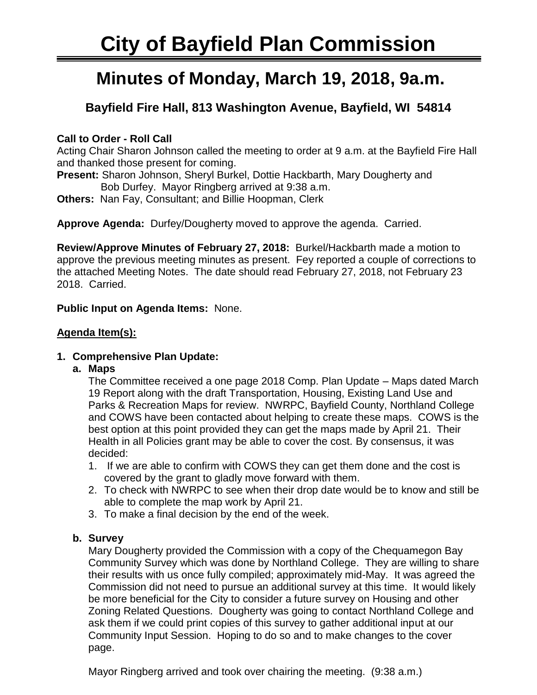# **Minutes of Monday, March 19, 2018, 9a.m.**

# **Bayfield Fire Hall, 813 Washington Avenue, Bayfield, WI 54814**

# **Call to Order - Roll Call**

Acting Chair Sharon Johnson called the meeting to order at 9 a.m. at the Bayfield Fire Hall and thanked those present for coming.

**Present:** Sharon Johnson, Sheryl Burkel, Dottie Hackbarth, Mary Dougherty and Bob Durfey. Mayor Ringberg arrived at 9:38 a.m.

**Others:** Nan Fay, Consultant; and Billie Hoopman, Clerk

**Approve Agenda:** Durfey/Dougherty moved to approve the agenda. Carried.

**Review/Approve Minutes of February 27, 2018:** Burkel/Hackbarth made a motion to approve the previous meeting minutes as present. Fey reported a couple of corrections to the attached Meeting Notes. The date should read February 27, 2018, not February 23 2018. Carried.

**Public Input on Agenda Items:** None.

# **Agenda Item(s):**

# **1. Comprehensive Plan Update:**

**a. Maps** 

The Committee received a one page 2018 Comp. Plan Update – Maps dated March 19 Report along with the draft Transportation, Housing, Existing Land Use and Parks & Recreation Maps for review. NWRPC, Bayfield County, Northland College and COWS have been contacted about helping to create these maps. COWS is the best option at this point provided they can get the maps made by April 21. Their Health in all Policies grant may be able to cover the cost. By consensus, it was decided:

- 1. If we are able to confirm with COWS they can get them done and the cost is covered by the grant to gladly move forward with them.
- 2. To check with NWRPC to see when their drop date would be to know and still be able to complete the map work by April 21.
- 3. To make a final decision by the end of the week.

# **b. Survey**

Mary Dougherty provided the Commission with a copy of the Chequamegon Bay Community Survey which was done by Northland College. They are willing to share their results with us once fully compiled; approximately mid-May. It was agreed the Commission did not need to pursue an additional survey at this time. It would likely be more beneficial for the City to consider a future survey on Housing and other Zoning Related Questions. Dougherty was going to contact Northland College and ask them if we could print copies of this survey to gather additional input at our Community Input Session. Hoping to do so and to make changes to the cover page.

Mayor Ringberg arrived and took over chairing the meeting. (9:38 a.m.)